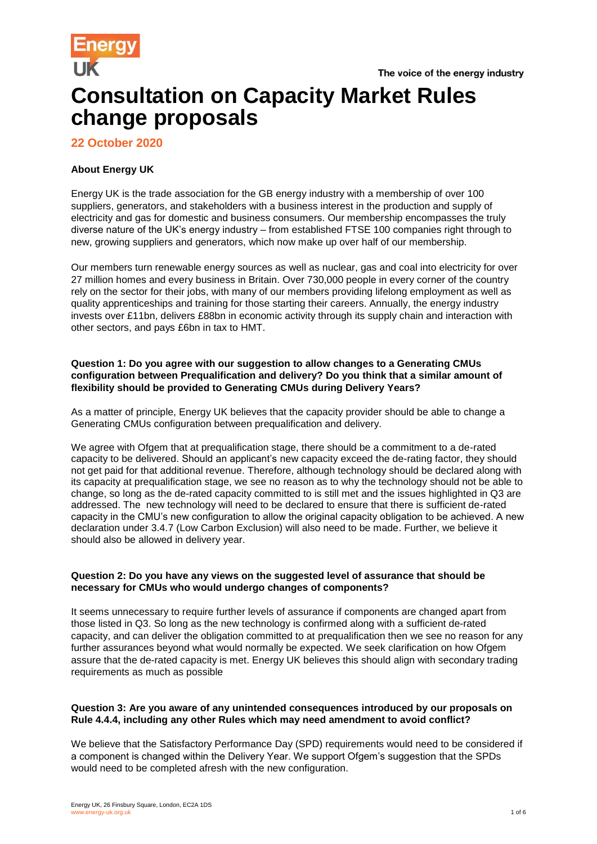

# **Consultation on Capacity Market Rules change proposals**

# **22 October 2020**

## **About Energy UK**

Energy UK is the trade association for the GB energy industry with a membership of over 100 suppliers, generators, and stakeholders with a business interest in the production and supply of electricity and gas for domestic and business consumers. Our membership encompasses the truly diverse nature of the UK's energy industry – from established FTSE 100 companies right through to new, growing suppliers and generators, which now make up over half of our membership.

Our members turn renewable energy sources as well as nuclear, gas and coal into electricity for over 27 million homes and every business in Britain. Over 730,000 people in every corner of the country rely on the sector for their jobs, with many of our members providing lifelong employment as well as quality apprenticeships and training for those starting their careers. Annually, the energy industry invests over £11bn, delivers £88bn in economic activity through its supply chain and interaction with other sectors, and pays £6bn in tax to HMT.

## **Question 1: Do you agree with our suggestion to allow changes to a Generating CMUs configuration between Prequalification and delivery? Do you think that a similar amount of flexibility should be provided to Generating CMUs during Delivery Years?**

As a matter of principle, Energy UK believes that the capacity provider should be able to change a Generating CMUs configuration between prequalification and delivery.

We agree with Ofgem that at prequalification stage, there should be a commitment to a de-rated capacity to be delivered. Should an applicant's new capacity exceed the de-rating factor, they should not get paid for that additional revenue. Therefore, although technology should be declared along with its capacity at prequalification stage, we see no reason as to why the technology should not be able to change, so long as the de-rated capacity committed to is still met and the issues highlighted in Q3 are addressed. The new technology will need to be declared to ensure that there is sufficient de-rated capacity in the CMU's new configuration to allow the original capacity obligation to be achieved. A new declaration under 3.4.7 (Low Carbon Exclusion) will also need to be made. Further, we believe it should also be allowed in delivery year.

## **Question 2: Do you have any views on the suggested level of assurance that should be necessary for CMUs who would undergo changes of components?**

It seems unnecessary to require further levels of assurance if components are changed apart from those listed in Q3. So long as the new technology is confirmed along with a sufficient de-rated capacity, and can deliver the obligation committed to at prequalification then we see no reason for any further assurances beyond what would normally be expected. We seek clarification on how Ofgem assure that the de-rated capacity is met. Energy UK believes this should align with secondary trading requirements as much as possible

## **Question 3: Are you aware of any unintended consequences introduced by our proposals on Rule 4.4.4, including any other Rules which may need amendment to avoid conflict?**

We believe that the Satisfactory Performance Day (SPD) requirements would need to be considered if a component is changed within the Delivery Year. We support Ofgem's suggestion that the SPDs would need to be completed afresh with the new configuration.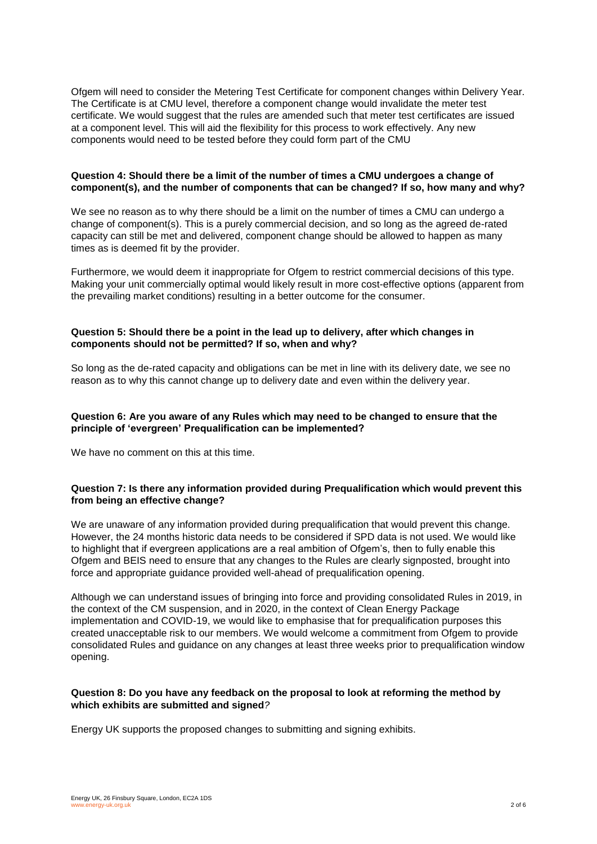Ofgem will need to consider the Metering Test Certificate for component changes within Delivery Year. The Certificate is at CMU level, therefore a component change would invalidate the meter test certificate. We would suggest that the rules are amended such that meter test certificates are issued at a component level. This will aid the flexibility for this process to work effectively. Any new components would need to be tested before they could form part of the CMU

## **Question 4: Should there be a limit of the number of times a CMU undergoes a change of component(s), and the number of components that can be changed? If so, how many and why?**

We see no reason as to why there should be a limit on the number of times a CMU can undergo a change of component(s). This is a purely commercial decision, and so long as the agreed de-rated capacity can still be met and delivered, component change should be allowed to happen as many times as is deemed fit by the provider.

Furthermore, we would deem it inappropriate for Ofgem to restrict commercial decisions of this type. Making your unit commercially optimal would likely result in more cost-effective options (apparent from the prevailing market conditions) resulting in a better outcome for the consumer.

## **Question 5: Should there be a point in the lead up to delivery, after which changes in components should not be permitted? If so, when and why?**

So long as the de-rated capacity and obligations can be met in line with its delivery date, we see no reason as to why this cannot change up to delivery date and even within the delivery year.

## **Question 6: Are you aware of any Rules which may need to be changed to ensure that the principle of 'evergreen' Prequalification can be implemented?**

We have no comment on this at this time.

## **Question 7: Is there any information provided during Prequalification which would prevent this from being an effective change?**

We are unaware of any information provided during prequalification that would prevent this change. However, the 24 months historic data needs to be considered if SPD data is not used. We would like to highlight that if evergreen applications are a real ambition of Ofgem's, then to fully enable this Ofgem and BEIS need to ensure that any changes to the Rules are clearly signposted, brought into force and appropriate guidance provided well-ahead of prequalification opening.

Although we can understand issues of bringing into force and providing consolidated Rules in 2019, in the context of the CM suspension, and in 2020, in the context of Clean Energy Package implementation and COVID-19, we would like to emphasise that for prequalification purposes this created unacceptable risk to our members. We would welcome a commitment from Ofgem to provide consolidated Rules and guidance on any changes at least three weeks prior to prequalification window opening.

## **Question 8: Do you have any feedback on the proposal to look at reforming the method by which exhibits are submitted and signed***?*

Energy UK supports the proposed changes to submitting and signing exhibits.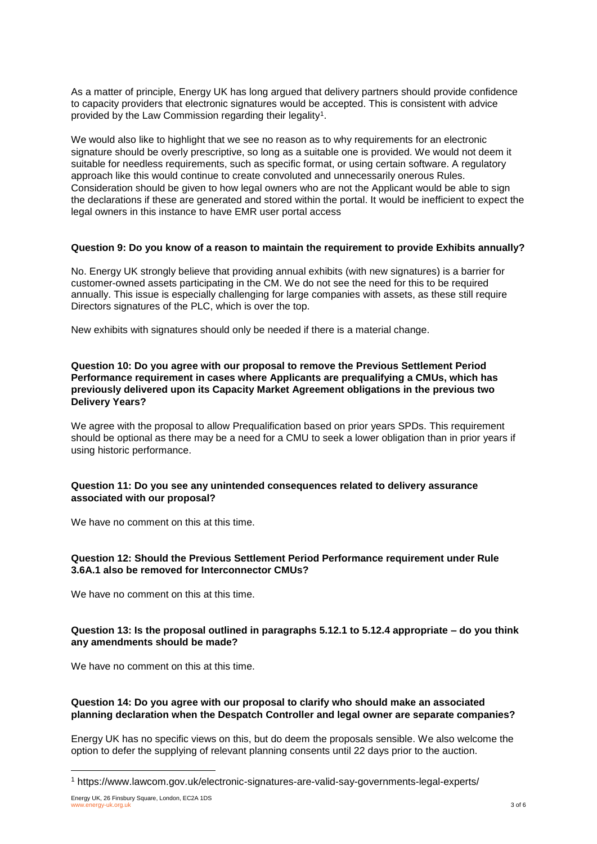As a matter of principle, Energy UK has long argued that delivery partners should provide confidence to capacity providers that electronic signatures would be accepted. This is consistent with advice provided by the Law Commission regarding their legality $^{\rm 1}.$ 

We would also like to highlight that we see no reason as to why requirements for an electronic signature should be overly prescriptive, so long as a suitable one is provided. We would not deem it suitable for needless requirements, such as specific format, or using certain software. A regulatory approach like this would continue to create convoluted and unnecessarily onerous Rules. Consideration should be given to how legal owners who are not the Applicant would be able to sign the declarations if these are generated and stored within the portal. It would be inefficient to expect the legal owners in this instance to have EMR user portal access

#### **Question 9: Do you know of a reason to maintain the requirement to provide Exhibits annually?**

No. Energy UK strongly believe that providing annual exhibits (with new signatures) is a barrier for customer-owned assets participating in the CM. We do not see the need for this to be required annually. This issue is especially challenging for large companies with assets, as these still require Directors signatures of the PLC, which is over the top.

New exhibits with signatures should only be needed if there is a material change.

## **Question 10: Do you agree with our proposal to remove the Previous Settlement Period Performance requirement in cases where Applicants are prequalifying a CMUs, which has previously delivered upon its Capacity Market Agreement obligations in the previous two Delivery Years?**

We agree with the proposal to allow Prequalification based on prior years SPDs. This requirement should be optional as there may be a need for a CMU to seek a lower obligation than in prior years if using historic performance.

## **Question 11: Do you see any unintended consequences related to delivery assurance associated with our proposal?**

We have no comment on this at this time.

## **Question 12: Should the Previous Settlement Period Performance requirement under Rule 3.6A.1 also be removed for Interconnector CMUs?**

We have no comment on this at this time.

## **Question 13: Is the proposal outlined in paragraphs 5.12.1 to 5.12.4 appropriate – do you think any amendments should be made?**

We have no comment on this at this time.

## **Question 14: Do you agree with our proposal to clarify who should make an associated planning declaration when the Despatch Controller and legal owner are separate companies?**

Energy UK has no specific views on this, but do deem the proposals sensible. We also welcome the option to defer the supplying of relevant planning consents until 22 days prior to the auction.

l

<sup>1</sup> https://www.lawcom.gov.uk/electronic-signatures-are-valid-say-governments-legal-experts/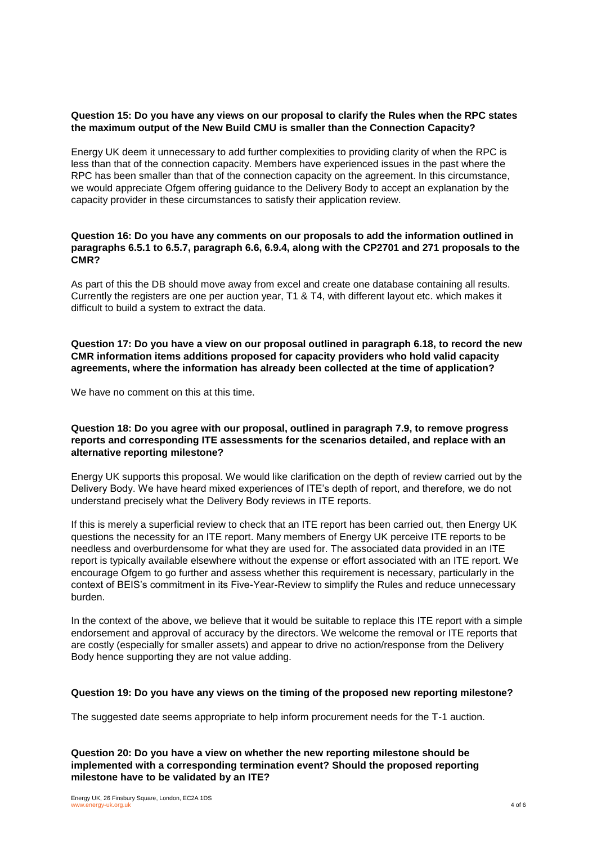## **Question 15: Do you have any views on our proposal to clarify the Rules when the RPC states the maximum output of the New Build CMU is smaller than the Connection Capacity?**

Energy UK deem it unnecessary to add further complexities to providing clarity of when the RPC is less than that of the connection capacity. Members have experienced issues in the past where the RPC has been smaller than that of the connection capacity on the agreement. In this circumstance, we would appreciate Ofgem offering guidance to the Delivery Body to accept an explanation by the capacity provider in these circumstances to satisfy their application review.

## **Question 16: Do you have any comments on our proposals to add the information outlined in paragraphs 6.5.1 to 6.5.7, paragraph 6.6, 6.9.4, along with the CP2701 and 271 proposals to the CMR?**

As part of this the DB should move away from excel and create one database containing all results. Currently the registers are one per auction year, T1 & T4, with different layout etc. which makes it difficult to build a system to extract the data.

**Question 17: Do you have a view on our proposal outlined in paragraph 6.18, to record the new CMR information items additions proposed for capacity providers who hold valid capacity agreements, where the information has already been collected at the time of application?**

We have no comment on this at this time.

#### **Question 18: Do you agree with our proposal, outlined in paragraph 7.9, to remove progress reports and corresponding ITE assessments for the scenarios detailed, and replace with an alternative reporting milestone?**

Energy UK supports this proposal. We would like clarification on the depth of review carried out by the Delivery Body. We have heard mixed experiences of ITE's depth of report, and therefore, we do not understand precisely what the Delivery Body reviews in ITE reports.

If this is merely a superficial review to check that an ITE report has been carried out, then Energy UK questions the necessity for an ITE report. Many members of Energy UK perceive ITE reports to be needless and overburdensome for what they are used for. The associated data provided in an ITE report is typically available elsewhere without the expense or effort associated with an ITE report. We encourage Ofgem to go further and assess whether this requirement is necessary, particularly in the context of BEIS's commitment in its Five-Year-Review to simplify the Rules and reduce unnecessary burden.

In the context of the above, we believe that it would be suitable to replace this ITE report with a simple endorsement and approval of accuracy by the directors. We welcome the removal or ITE reports that are costly (especially for smaller assets) and appear to drive no action/response from the Delivery Body hence supporting they are not value adding.

#### **Question 19: Do you have any views on the timing of the proposed new reporting milestone?**

The suggested date seems appropriate to help inform procurement needs for the T-1 auction.

**Question 20: Do you have a view on whether the new reporting milestone should be implemented with a corresponding termination event? Should the proposed reporting milestone have to be validated by an ITE?**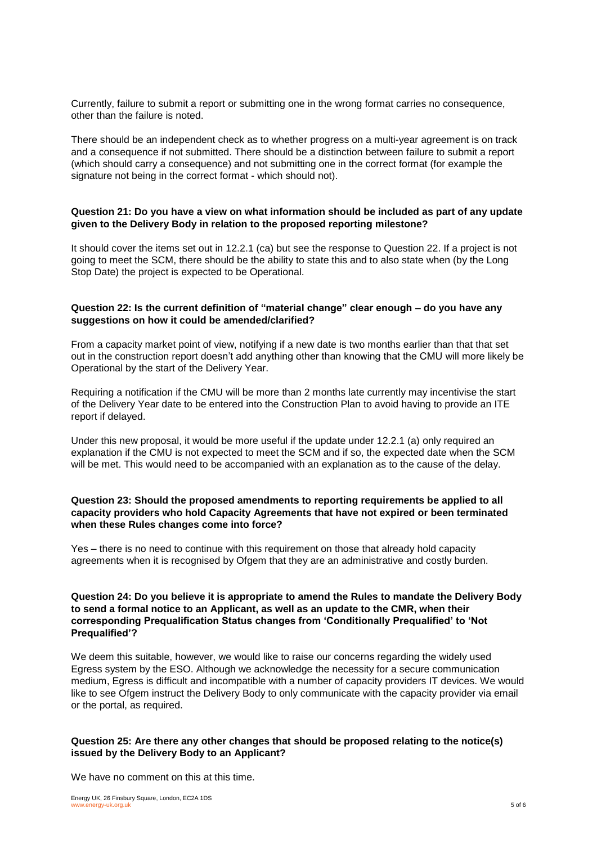Currently, failure to submit a report or submitting one in the wrong format carries no consequence, other than the failure is noted.

There should be an independent check as to whether progress on a multi-year agreement is on track and a consequence if not submitted. There should be a distinction between failure to submit a report (which should carry a consequence) and not submitting one in the correct format (for example the signature not being in the correct format - which should not).

## **Question 21: Do you have a view on what information should be included as part of any update given to the Delivery Body in relation to the proposed reporting milestone?**

It should cover the items set out in 12.2.1 (ca) but see the response to Question 22. If a project is not going to meet the SCM, there should be the ability to state this and to also state when (by the Long Stop Date) the project is expected to be Operational.

## **Question 22: Is the current definition of "material change" clear enough – do you have any suggestions on how it could be amended/clarified?**

From a capacity market point of view, notifying if a new date is two months earlier than that that set out in the construction report doesn't add anything other than knowing that the CMU will more likely be Operational by the start of the Delivery Year.

Requiring a notification if the CMU will be more than 2 months late currently may incentivise the start of the Delivery Year date to be entered into the Construction Plan to avoid having to provide an ITE report if delayed.

Under this new proposal, it would be more useful if the update under 12.2.1 (a) only required an explanation if the CMU is not expected to meet the SCM and if so, the expected date when the SCM will be met. This would need to be accompanied with an explanation as to the cause of the delay.

## **Question 23: Should the proposed amendments to reporting requirements be applied to all capacity providers who hold Capacity Agreements that have not expired or been terminated when these Rules changes come into force?**

Yes – there is no need to continue with this requirement on those that already hold capacity agreements when it is recognised by Ofgem that they are an administrative and costly burden.

## **Question 24: Do you believe it is appropriate to amend the Rules to mandate the Delivery Body to send a formal notice to an Applicant, as well as an update to the CMR, when their corresponding Prequalification Status changes from 'Conditionally Prequalified' to 'Not Prequalified'?**

We deem this suitable, however, we would like to raise our concerns regarding the widely used Egress system by the ESO. Although we acknowledge the necessity for a secure communication medium, Egress is difficult and incompatible with a number of capacity providers IT devices. We would like to see Ofgem instruct the Delivery Body to only communicate with the capacity provider via email or the portal, as required.

## **Question 25: Are there any other changes that should be proposed relating to the notice(s) issued by the Delivery Body to an Applicant?**

We have no comment on this at this time.